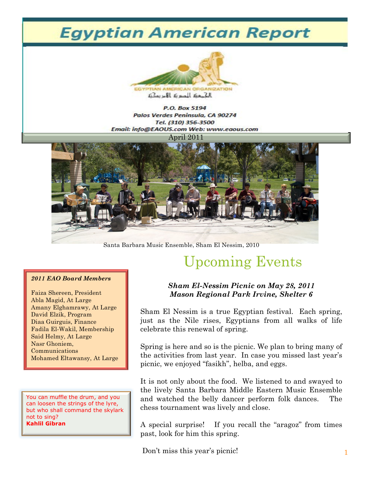# **Egyptian American Report**



P.O. Box 5194 Palos Verdes Peninsula, CA 90274 Tel. (310) 356-3500 Email: info@EAOUS.com Web: www.eaous.com April 2011



Santa Barbara Music Ensemble, Sham El Nessim, 2010

#### *2011 EAO Board Members*

Faiza Shereen, President Abla Magid, At Large Amany Elghamrawy, At Large David Elzik, Program Diaa Guirguis, Finance Fadila El-Wakil, Membership Said Helmy, At Large Nasr Ghoniem, Communications Mohamed Eltawansy, At Large

You can muffle the drum, and you can loosen the strings of the lyre, but who shall command the skylark not to sing? **Kahlil Gibran**

# Upcoming Events

### *Sham El-Nessim Picnic on May 28, 2011 Mason Regional Park Irvine, Shelter 6*

Sham El Nessim is a true Egyptian festival. Each spring, just as the Nile rises, Egyptians from all walks of life celebrate this renewal of spring.

Spring is here and so is the picnic. We plan to bring many of the activities from last year. In case you missed last year's picnic, we enjoyed "fasikh", helba, and eggs.

It is not only about the food. We listened to and swayed to the lively Santa Barbara Middle Eastern Music Ensemble and watched the belly dancer perform folk dances. The chess tournament was lively and close.

A special surprise! If you recall the "aragoz" from times past, look for him this spring.

Don't miss this year's picnic!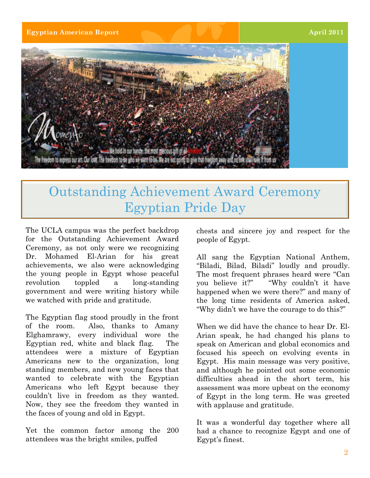**Egyptian American Report April 2011** 



## Outstanding Achievement Award Ceremony Egyptian Pride Day

The UCLA campus was the perfect backdrop for the Outstanding Achievement Award Ceremony, as not only were we recognizing Dr. Mohamed El-Arian for his great achievements, we also were acknowledging the young people in Egypt whose peaceful revolution toppled a long-standing government and were writing history while we watched with pride and gratitude.

The Egyptian flag stood proudly in the front of the room. Also, thanks to Amany Elghamrawy, every individual wore the Egyptian red, white and black flag. The attendees were a mixture of Egyptian Americans new to the organization, long standing members, and new young faces that wanted to celebrate with the Egyptian Americans who left Egypt because they couldn't live in freedom as they wanted. Now, they see the freedom they wanted in the faces of young and old in Egypt.

Yet the common factor among the 200 attendees was the bright smiles, puffed

chests and sincere joy and respect for the people of Egypt.

All sang the Egyptian National Anthem, "Biladi, Bilad, Biladi" loudly and proudly. The most frequent phrases heard were "Can you believe it?" "Why couldn't it have happened when we were there?" and many of the long time residents of America asked, "Why didn't we have the courage to do this?"

When we did have the chance to hear Dr. El-Arian speak, he had changed his plans to speak on American and global economics and focused his speech on evolving events in Egypt. His main message was very positive, and although he pointed out some economic difficulties ahead in the short term, his assessment was more upbeat on the economy of Egypt in the long term. He was greeted with applause and gratitude.

It was a wonderful day together where all had a chance to recognize Egypt and one of Egypt's finest.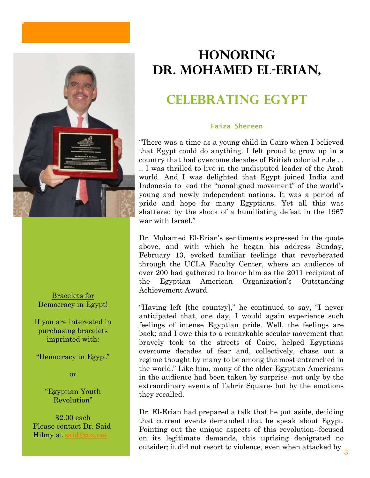

Bracelets for Democracy in Egypt!

If you are interested in purchasing bracelets imprinted with:

"Democracy in Egypt"

or

"Egyptian Youth Revolution"

\$2.00 each Please contact Dr. Said Hilmy at said@cox.net

### **Honoring Dr. Mohamed El-Erian,**

### **Celebrating Egypt**

#### **Faiza Shereen**

"There was a time as a young child in Cairo when I believed that Egypt could do anything. I felt proud to grow up in a country that had overcome decades of British colonial rule . . .. I was thrilled to live in the undisputed leader of the Arab world. And I was delighted that Egypt joined India and Indonesia to lead the "nonaligned movement" of the world's young and newly independent nations. It was a period of pride and hope for many Egyptians. Yet all this was shattered by the shock of a humiliating defeat in the 1967 war with Israel."

Dr. Mohamed El-Erian's sentiments expressed in the quote above, and with which he began his address Sunday, February 13, evoked familiar feelings that reverberated through the UCLA Faculty Center, where an audience of over 200 had gathered to honor him as the 2011 recipient of the Egyptian American Organization's Outstanding Achievement Award.

"Having left [the country]," he continued to say, "I never anticipated that, one day, I would again experience such feelings of intense Egyptian pride. Well, the feelings are back; and I owe this to a remarkable secular movement that bravely took to the streets of Cairo, helped Egyptians overcome decades of fear and, collectively, chase out a regime thought by many to be among the most entrenched in the world." Like him, many of the older Egyptian Americans in the audience had been taken by surprise--not only by the extraordinary events of Tahrir Square- but by the emotions they recalled.

Dr. El-Erian had prepared a talk that he put aside, deciding that current events demanded that he speak about Egypt. Pointing out the unique aspects of this revolution--focused on its legitimate demands, this uprising denigrated no outsider; it did not resort to violence, even when attacked by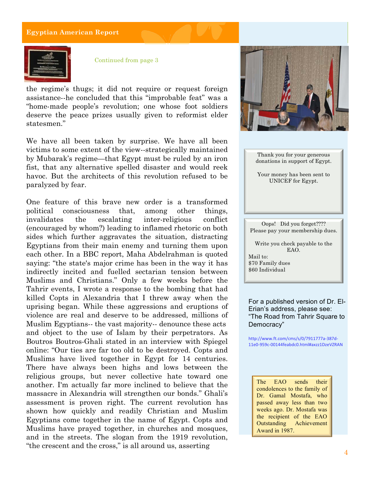

Continued from page 3

the regime's thugs; it did not require or request foreign assistance--he concluded that this "improbable feat" was a "home-made people's revolution; one whose foot soldiers deserve the peace prizes usually given to reformist elder statesmen."

We have all been taken by surprise. We have all been victims to some extent of the view--strategically maintained by Mubarak's regime—that Egypt must be ruled by an iron fist, that any alternative spelled disaster and would reek havoc. But the architects of this revolution refused to be paralyzed by fear.

One feature of this brave new order is a transformed political consciousness that, among other things, invalidates the escalating inter-religious conflict (encouraged by whom?) leading to inflamed rhetoric on both sides which further aggravates the situation, distracting Egyptians from their main enemy and turning them upon each other. In a BBC report, Maha Abdelrahman is quoted saying: "the state's major crime has been in the way it has indirectly incited and fuelled sectarian tension between Muslims and Christians." Only a few weeks before the Tahrir events, I wrote a response to the bombing that had killed Copts in Alexandria that I threw away when the uprising began. While these aggressions and eruptions of violence are real and deserve to be addressed, millions of Muslim Egyptians-- the vast majority-- denounce these acts and object to the use of Islam by their perpetrators. As Boutros Boutros-Ghali stated in an interview with Spiegel online: "Our ties are far too old to be destroyed. Copts and Muslims have lived together in Egypt for 14 centuries. There have always been highs and lows between the religious groups, but never collective hate toward one another. I'm actually far more inclined to believe that the massacre in Alexandria will strengthen our bonds." Ghali's assessment is proven right. The current revolution has shown how quickly and readily Christian and Muslim Egyptians come together in the name of Egypt. Copts and Muslims have prayed together, in churches and mosques, and in the streets. The slogan from the 1919 revolution, "the crescent and the cross," is all around us, asserting



Thank you for your generous donations in support of Egypt.

Your money has been sent to UNICEF for Egypt.

Oops! Did you forget???? Please pay your membership dues.

Write you check payable to the EAO. Mail to: \$70 Family dues \$60 Individual

For a published version of Dr. El-Erian's address, please see: "The Road from Tahrir Square to Democracy"

http://www.ft.com/cms/s/0/7911777a-387d-11e0-959c-00144feabdc0.html#axzz1DzeVZRAN

The EAO sends their condolences to the family of Dr. Gamal Mostafa, who passed away less than two weeks ago. Dr. Mostafa was the recipient of the EAO Outstanding Achievement Award in 1987.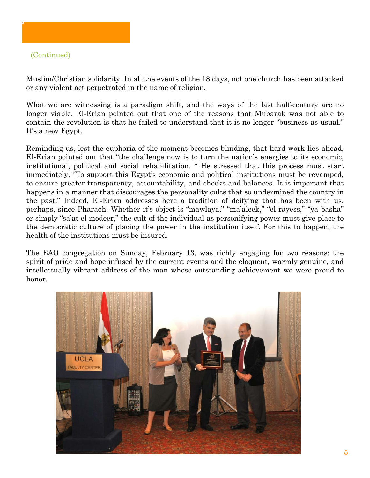### (Continued)

Muslim/Christian solidarity. In all the events of the 18 days, not one church has been attacked or any violent act perpetrated in the name of religion.

What we are witnessing is a paradigm shift, and the ways of the last half-century are no longer viable. El-Erian pointed out that one of the reasons that Mubarak was not able to contain the revolution is that he failed to understand that it is no longer "business as usual." It's a new Egypt.

Reminding us, lest the euphoria of the moment becomes blinding, that hard work lies ahead, El-Erian pointed out that "the challenge now is to turn the nation's energies to its economic, institutional, political and social rehabilitation. " He stressed that this process must start immediately. "To support this Egypt's economic and political institutions must be revamped, to ensure greater transparency, accountability, and checks and balances. It is important that happens in a manner that discourages the personality cults that so undermined the country in the past." Indeed, El-Erian addresses here a tradition of deifying that has been with us, perhaps, since Pharaoh. Whether it's object is "mawlaya," "ma'aleek," "el rayess," "ya basha" or simply "sa'at el modeer," the cult of the individual as personifying power must give place to the democratic culture of placing the power in the institution itself. For this to happen, the health of the institutions must be insured.

The EAO congregation on Sunday, February 13, was richly engaging for two reasons: the spirit of pride and hope infused by the current events and the eloquent, warmly genuine, and intellectually vibrant address of the man whose outstanding achievement we were proud to honor.

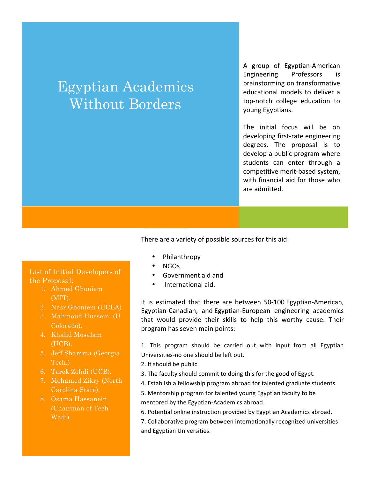# Egyptian Academics Without Borders

A group of Egyptian-American Engineering Professors is brainstorming on transformative educational models to deliver a top-notch college education to young Egyptians.

The initial focus will be on developing first-rate engineering degrees. The proposal is to develop a public program where students can enter through a competitive merit-based system, with financial aid for those who are admitted.

There are a variety of possible sources for this aid:

- Philanthropy
- $\cdot$  NGOs
- Government aid and
- International aid.

It is estimated that there are between 50-100 Egyptian-American, Egyptian-Canadian, and Egyptian-European engineering academics that would provide their skills to help this worthy cause. Their program has seven main points:

1. This program should be carried out with input from all Egyptian Universities-no one should be left out.

- 2. It should be public.
- 3. The faculty should commit to doing this for the good of Egypt.
- 4. Establish a fellowship program abroad for talented graduate students.

5. Mentorship program for talented young Egyptian faculty to be mentored by the Egyptian-Academics abroad.

6. Potential online instruction provided by Egyptian Academics abroad.

7. Collaborative program between internationally recognized universities and Egyptian Universities.

List of Initial Developers of the Proposal:

- 1. Ahmed Ghoniem (MIT).
- 2. Nasr Ghoniem (UCLA)
- 3. Mahmoud Hussein (U Colorado).
- 4. Khalid Mosalam (UCB).
- 5. Jeff Shamma (Georgia Tech.)
- 6. Tarek Zohdi (UCB).
- 7. Mohamed Zikry (North Carolina State).
- 8. Osama Hassanein (Chairman of Tech Wadi).